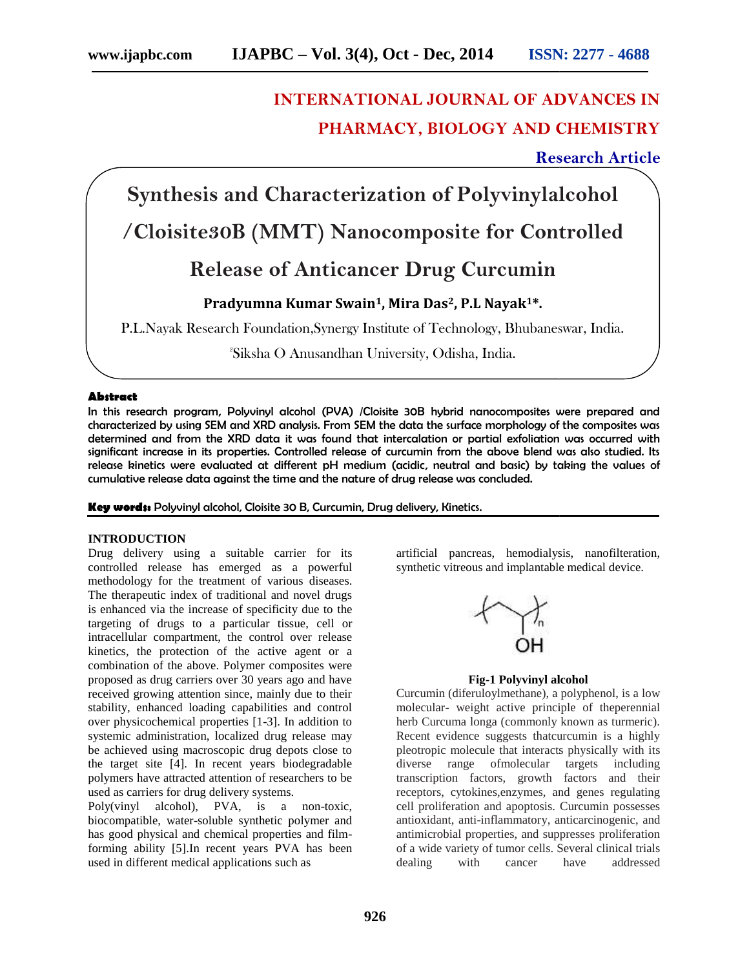# **INTERNATIONAL JOURNAL OF ADVANCES IN PHARMACY, BIOLOGY AND CHEMISTRY**

# **Research Article Research Article**

**Synthesis and Characterization of Polyvinylalcohol /Cloisite30B (MMT) Nanocomposite for Controlled**

# **Release of Anticancer Drug Curcumin**

# **Pradyumna Kumar Swain1, Mira Das2, P.L Nayak1\*.**

P.L.Nayak Research Foundation,Synergy Institute of Technology, Bhubaneswar, India.

<sup>2</sup>Siksha O Anusandhan University, Odisha, India.

# **Abstract**

In this research program, Polyvinyl alcohol (PVA) /Cloisite 30B hybrid nanocomposites were prepared and characterized by using SEM and XRD analysis. From SEM the data the surface morphology of the composites was determined and from the XRD data it was found that intercalation or partial exfoliation was occurred with significant increase in its properties. Controlled release of curcumin from the above blend was also studied. Its release kinetics were evaluated at different pH medium (acidic, neutral and basic) by taking the values of cumulative release data against the time and the nature of drug release was concluded. In this research program, Polyvinyl alcohol (PVA) /Cloisite 30B hybrid nanocomposites were prepared and characterized by using SEM and XRD analysis. From SEM the data the surface morphology of the composites was determined

**Key words:** Polyvinyl alcohol, Cloisite 30 B, Curcumin, Drug delivery, Kinetics.

### **INTRODUCTION**

Drug delivery using a suitable carrier for its controlled release has emerged as a powerful methodology for the treatment of various diseases. The therapeutic index of traditional and novel drugs methodology for the treatment of various diseases.<br>The therapeutic index of traditional and novel drugs<br>is enhanced via the increase of specificity due to the targeting of drugs to a particular tissue, cell or intracellular compartment, the control over release kinetics, the protection of the active agent or a combination of the above. Polymer composites were proposed as drug carriers over 30 years ago and have received growing attention since, mainly due to their stability, enhanced loading capabilities and control over physicochemical properties [1-3]. In addition to systemic administration, localized drug release may be achieved using macroscopic drug depots close to the target site [4]. In recent years biodegradable polymers have attracted attention of researchers to be used as carriers for drug delivery systems. targeting of drugs to a particular tissue, cell or<br>intracellular compartment, the control over release<br>kinetics, the protection of the active agent or a<br>combination of the above. Polymer composites were<br>proposed as drug ca g macroscopic drug depots close to<br>[4]. In recent years biodegradable<br>tracted attention of researchers to be<br>or drug delivery systems.<br>bhol), PVA, is a non-toxic,<br>water-soluble synthetic polymer and<br>all and chemical proper

Poly(vinyl alcohol), PVA, is a non-toxic, biocompatible, water-soluble synthetic polymer and has good physical and chemical properties and filmforming ability [5].In recent years PVA has been used in different medical applications such as

artificial pancreas, hemodialysis, nanofilteration, synthetic vitreous and implantable medical device.



## **Fig-1 Polyvinyl alcohol**

Curcumin (diferuloylmethane), a polyphenol, is a low molecular- weight active principle of theperennial herb Curcuma longa (commonly known as turmeric). Recent evidence suggests thatcurcumin is a highly pleotropic molecule that interacts physically with its diverse range ofmolecular targets including transcription factors, growth factors and their receptors, cytokines,enzymes, and genes regulating cell proliferation and apoptosis. Curcumin possesses antioxidant, anti-inflammatory, anticarcinogenic, and antimicrobial properties, and suppresses proliferation of a wide variety of tumor cells. Several clinical trials dealing with cancer have addressed is and Characterization of Polyvinylalcohol<br>
230B (MMT) Nanocomposite for Controlled<br>
elease of Anticancer Drug Curcumin<br>
elease of Anticancer Drug Curcumin<br>
Pradymma Kumai Swain<sup>1</sup>, Mira Das, P.L Nayak<sup>14</sup>.<br>
"Fradymma Ku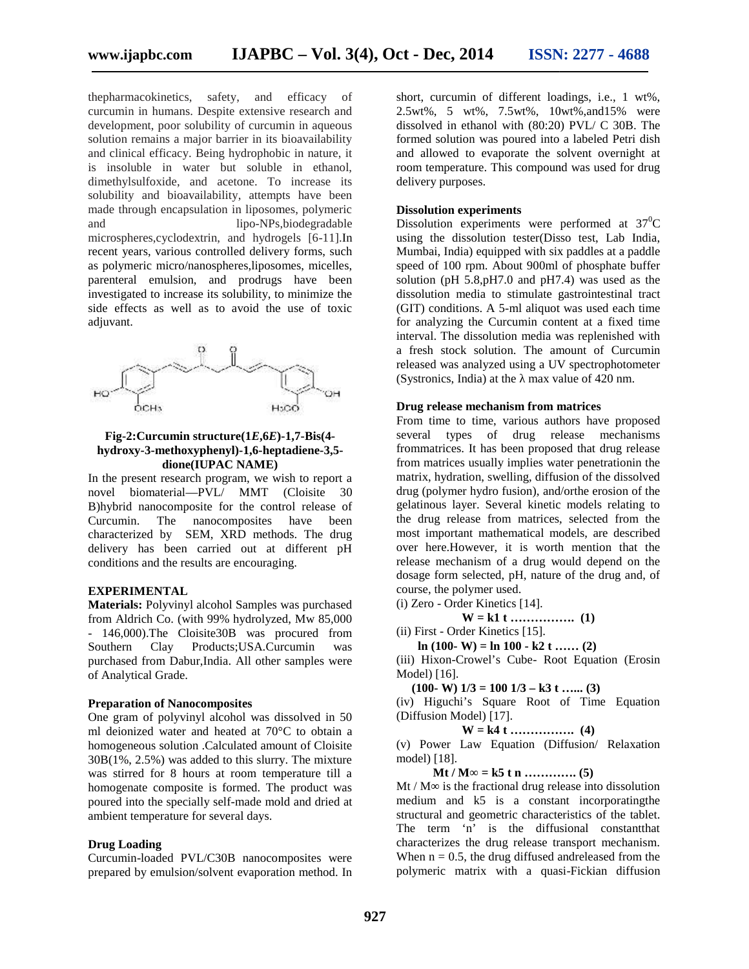thepharmacokinetics, safety, and efficacy of curcumin in humans. Despite extensive research and development, poor solubility of curcumin in aqueous solution remains a major barrier in its bioavailability and clinical efficacy. Being hydrophobic in nature, it is insoluble in water but soluble in ethanol, dimethylsulfoxide, and acetone. To increase its solubility and bioavailability, attempts have been made through encapsulation in liposomes, polymeric and lipo-NPs,biodegradable microspheres,cyclodextrin, and hydrogels [6-11].In recent years, various controlled delivery forms, such as polymeric micro/nanospheres,liposomes, micelles, parenteral emulsion, and prodrugs have been parenteral investigated to increase its solubility, to minimize the side effects as well as to avoid the use of toxic adjuvant. thepharmacokinetics, safety, and efficacy of<br>curcumin in humans. Despite extensive research and<br>development, poor solubility of curcumin in aqueous<br>solution remains a major barrier in its bioavailability<br>and clinical effic dependentioning, which are the same of the same of the same of the same of the same of the same of the same of the same of the same of the same of the same of the same of the same of the same of the same of the same of th



# **Fig-2:Curcumin structure(1***E***,6***E***)-1,7-Bis(4 hydroxy-3-methoxyphenyl)-1,6-heptadiene-3,5- structure(1***E***)-1,7-Bis(4-hydroxy-3-methoxyphenyl)-1,6-heptadiene-3,5dione(IUPAC NAME)**

In the present research program, we wish to report a novel biomaterial—PVL/ MMT (Cloisite 30 B)hybrid nanocomposite for the control release of Curcumin. The nanocomposites have been characterized by SEM, XRD methods. The drug delivery has been carried out at different pH conditions and the results are encouraging. present research program, we wish to report a<br>biomaterial—PVL/ MMT (Cloisite 30<br>id nanocomposite for the control release of<br>min. The nanocomposites have been<br>terized by SEM, XRD methods. The drug

#### **EXPERIMENTAL**

**Materials:** Polyvinyl alcohol Samples was purchased **Materials:**from Aldrich Co. (with 99% hydrolyzed, Mw 85,000 - 146,000).The Cloisite30B was procured from Southern Clay Products;USA.Curcumin was purchased from Dabur,India. All other samples were of Analytical Grade. - 146,000).The Cloisite30B was procured from<br>Southern Clay Products;USA.Curcumin was<br>purchased from Dabur,India. All other samples were<br>of Analytical Grade.<br>**Preparation of Nanocomposites**<br>One gram of polyvinyl alcohol was

#### **Preparation of Nanocomposites**

One gram of polyvinyl alcohol was dissolved in 50 ml deionized water and heated at 70°C to obtain a homogeneous solution .Calculated amount of Cloisite 30B(1%, 2.5%) was added to this slurry. The mixture was stirred for 8 hours at room temperature till a homogenate composite is formed. The product was poured into the specially self-made mold and dried at ambient temperature for several days.

## **Drug Loading**

Curcumin-loaded PVL/C30B nanocomposites were prepared by emulsion/solvent evaporation method. In short, curcumin of different loadings, i.e., 1 wt%, 2.5wt%, 5 wt%, 7.5wt%, 10wt%,and15% were dissolved in ethanol with (80:20) PVL/ C 30B. The formed solution was poured into a labeled Petri dish and allowed to evaporate the solvent overnight at room temperature. This compound was used for drug delivery purposes.

# **Dissolution experiments**

Dissolution experiments were performed at  $37^{\circ}$ C using the dissolution tester(Disso test, Lab India, Mumbai, India) equipped with six paddles at a paddle speed of 100 rpm. About 900ml of phosphate buffer solution (pH 5.8,pH7.0 and pH7.4) was used as the dissolution media to stimulate gastrointestinal tract (GIT) conditions. A 5-ml aliquot was used each time for analyzing the Curcumin content at a fixed time interval. The dissolution media was replenished with a fresh stock solution. The amount of Curcumin released was analyzed using a UV spectrophotometer (Systronics, India) at the max value of  $420$  nm.

# **Drug release mechanism from matrices**

From time to time, various authors have proposed several types of drug release mechanisms frommatrices. It has been proposed that drug release from matrices usually implies water penetrationin the matrix, hydration, swelling, diffusion of the dissolved drug (polymer hydro fusion), and/orthe erosion of the gelatinous layer. Several kinetic models relating to the drug release from matrices, selected from the most important mathematical models, are described over here.However, it is worth mention that the release mechanism of a drug would depend on the dosage form selected, pH, nature of the drug and, of course, the polymer used. hydration, swelling, diffusion of th<br>olymer hydro fusion), and/orthe ero<br>us layer. Several kinetic models<br>g release from matrices, selected mention that t<br>ld depend on t<br>f the drug and, alyzing the Curcumin content at a<br>
al. The dissolution media was repler<br>
she solution. The amount of<br>
she solution. The amount of<br>
dwas analyzed using a IV spectrop<br>
pincs, India) at the max value of 42<br>
release mechanism

(i) Zero - Order Kinetics [14].

**W = k1 t ……………. (1) (1)**

(ii) First - Order Kinetics [15].

$$
\ln(100 - W) = \ln 100 - k2 t \dots (2)
$$

(iii) Hixon-Crowel's Cube- Root Equation (Erosin Model) [16].

**(100- W) 1/3 = 100 1/3 – k3 t …... (3) k3** 

(iv) Higuchi's Square Root of Time Equation (Diffusion Model) [17].

**W = k4 t ……………. (4) (4)**

(v) Power Law Equation (Diffusion/ Relaxation model) [18]. (v) Power Law Equation (Diffusion/ Relaxation<br>model) [18].<br>**Mt / M** = **k5 t n ...............** (5)<br>Mt / M is the fractional drug release into dissolution

**Mt / M∞ = k5 t n …………. (5)**

medium and k5 is a constant incorporatingthe medium and k5 is a constant incorporating the structural and geometric characteristics of the tablet. The term 'n' is the diffusional constant that characterizes the drug release transport mechanism. When  $n = 0.5$ , the drug diffused andreleased from the polymeric matrix with a quasi-Fickian diffusion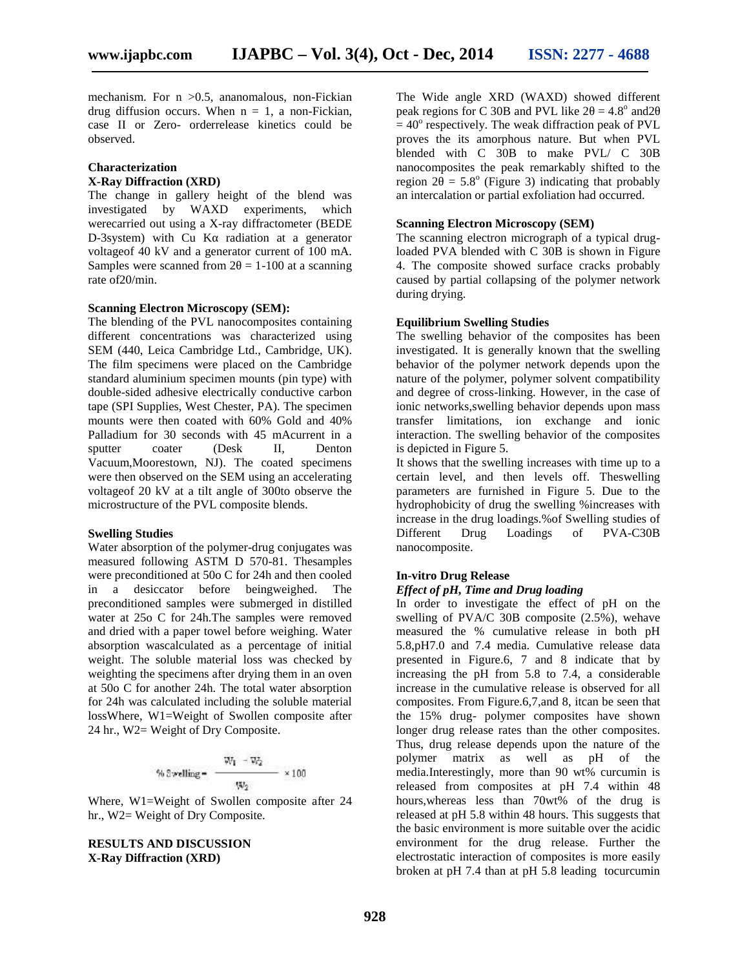mechanism. For  $n > 0.5$ , ananomalous, non-Fickian drug diffusion occurs. When  $n = 1$ , a non-Fickian, case II or Zero- orderrelease kinetics could be observed.

#### **Characterization X-Ray Diffraction (XRD)**

The change in gallery height of the blend was investigated by WAXD experiments, which werecarried out using a X-ray diffractometer (BEDE D-3system) with  $Cu K$  radiation at a generator voltageof 40 kV and a generator current of 100 mA. Samples were scanned from  $2 = 1-100$  at a scanning rate of20/min.

# **Scanning Electron Microscopy (SEM):**

The blending of the PVL nanocomposites containing different concentrations was characterized using SEM (440, Leica Cambridge Ltd., Cambridge, UK). The film specimens were placed on the Cambridge standard aluminium specimen mounts (pin type) with double-sided adhesive electrically conductive carbon tape (SPI Supplies, West Chester, PA). The specimen mounts were then coated with 60% Gold and 40% Palladium for 30 seconds with 45 mAcurrent in a sputter coater (Desk II, Denton Vacuum,Moorestown, NJ). The coated specimens were then observed on the SEM using an accelerating voltageof 20 kV at a tilt angle of 300to observe the microstructure of the PVL composite blends.

#### **Swelling Studies**

Water absorption of the polymer-drug conjugates was measured following ASTM D 570-81. Thesamples were preconditioned at 50o C for 24h and then cooled in a desiccator before beingweighed. The preconditioned samples were submerged in distilled water at 25o C for 24h.The samples were removed and dried with a paper towel before weighing. Water absorption wascalculated as a percentage of initial weight. The soluble material loss was checked by weighting the specimens after drying them in an oven at 50o C for another 24h. The total water absorption for 24h was calculated including the soluble material lossWhere, W1=Weight of Swollen composite after 24 hr., W2= Weight of Dry Composite.

$$
\% \, 3 \text{welling} = \frac{W_1 - W_2}{W_2} \times 100
$$

Where, W1=Weight of Swollen composite after 24 hr., W2= Weight of Dry Composite.

#### **RESULTS AND DISCUSSION X-Ray Diffraction (XRD)**

The Wide angle XRD (WAXD) showed different peak regions for C 30B and PVL like  $2 = 4.8^{\circ}$  and 2  $= 40^{\circ}$  respectively. The weak diffraction peak of PVL proves the its amorphous nature. But when PVL blended with C 30B to make PVL/ C 30B nanocomposites the peak remarkably shifted to the region  $2 = 5.8^\circ$  (Figure 3) indicating that probably an intercalation or partial exfoliation had occurred.

# **Scanning Electron Microscopy (SEM)**

The scanning electron micrograph of a typical drugloaded PVA blended with C 30B is shown in Figure 4. The composite showed surface cracks probably caused by partial collapsing of the polymer network during drying.

# **Equilibrium Swelling Studies**

The swelling behavior of the composites has been investigated. It is generally known that the swelling behavior of the polymer network depends upon the nature of the polymer, polymer solvent compatibility and degree of cross-linking. However, in the case of ionic networks,swelling behavior depends upon mass transfer limitations, ion exchange and ionic interaction. The swelling behavior of the composites is depicted in Figure 5.

It shows that the swelling increases with time up to a certain level, and then levels off. Theswelling parameters are furnished in Figure 5. Due to the hydrophobicity of drug the swelling %increases with increase in the drug loadings.%of Swelling studies of<br>Different Drug Loadings of PVA-C30B Drug Loadings of PVA-C30B nanocomposite.

# **In-vitro Drug Release**

#### *Effect of pH, Time and Drug loading*

In order to investigate the effect of pH on the swelling of PVA/C 30B composite (2.5%), wehave measured the % cumulative release in both pH 5.8,pH7.0 and 7.4 media. Cumulative release data presented in Figure.6, 7 and 8 indicate that by increasing the pH from 5.8 to 7.4, a considerable increase in the cumulative release is observed for all composites. From Figure.6,7,and 8, itcan be seen that the 15% drug- polymer composites have shown longer drug release rates than the other composites. Thus, drug release depends upon the nature of the polymer matrix as well as pH of the media.Interestingly, more than 90 wt% curcumin is released from composites at pH 7.4 within 48 hours,whereas less than 70wt% of the drug is released at pH 5.8 within 48 hours. This suggests that the basic environment is more suitable over the acidic environment for the drug release. Further the electrostatic interaction of composites is more easily broken at pH 7.4 than at pH 5.8 leading tocurcumin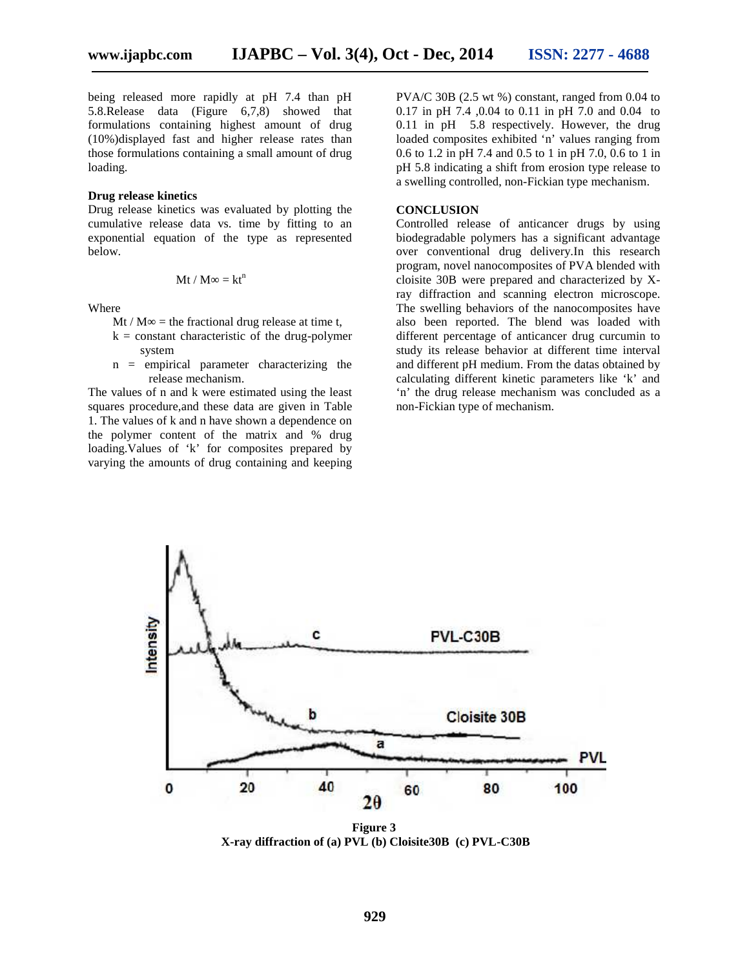being released more rapidly at pH 7.4 than pH 5.8.Release data (Figure 6,7,8) showed that formulations containing highest amount of drug (10%)displayed fast and higher release rates than those formulations containing a small amount of drug loading.

#### **Drug release kinetics**

Drug release kinetics was evaluated by plotting the cumulative release data vs. time by fitting to an exponential equation of the type as represented below.

$$
Mt/M = kt^n
$$

Where

- Mt / M = the fractional drug release at time t,
- $k = constant$  characteristic of the drug-polymer system
- n = empirical parameter characterizing the release mechanism.

The values of n and k were estimated using the least squares procedure,and these data are given in Table 1. The values of k and n have shown a dependence on the polymer content of the matrix and % drug loading.Values of 'k' for composites prepared by varying the amounts of drug containing and keeping

PVA/C 30B (2.5 wt %) constant, ranged from 0.04 to 0.17 in pH 7.4 ,0.04 to 0.11 in pH 7.0 and 0.04 to 0.11 in pH 5.8 respectively. However, the drug loaded composites exhibited 'n' values ranging from 0.6 to 1.2 in pH 7.4 and 0.5 to 1 in pH 7.0, 0.6 to 1 in pH 5.8 indicating a shift from erosion type release to a swelling controlled, non-Fickian type mechanism.

#### **CONCLUSION**

Controlled release of anticancer drugs by using biodegradable polymers has a significant advantage over conventional drug delivery.In this research program, novel nanocomposites of PVA blended with cloisite 30B were prepared and characterized by Xray diffraction and scanning electron microscope. The swelling behaviors of the nanocomposites have also been reported. The blend was loaded with different percentage of anticancer drug curcumin to study its release behavior at different time interval and different pH medium. From the datas obtained by calculating different kinetic parameters like 'k' and 'n' the drug release mechanism was concluded as a non-Fickian type of mechanism.



**Figure 3 X-ray diffraction of (a) PVL (b) Cloisite30B (c) PVL-C30B**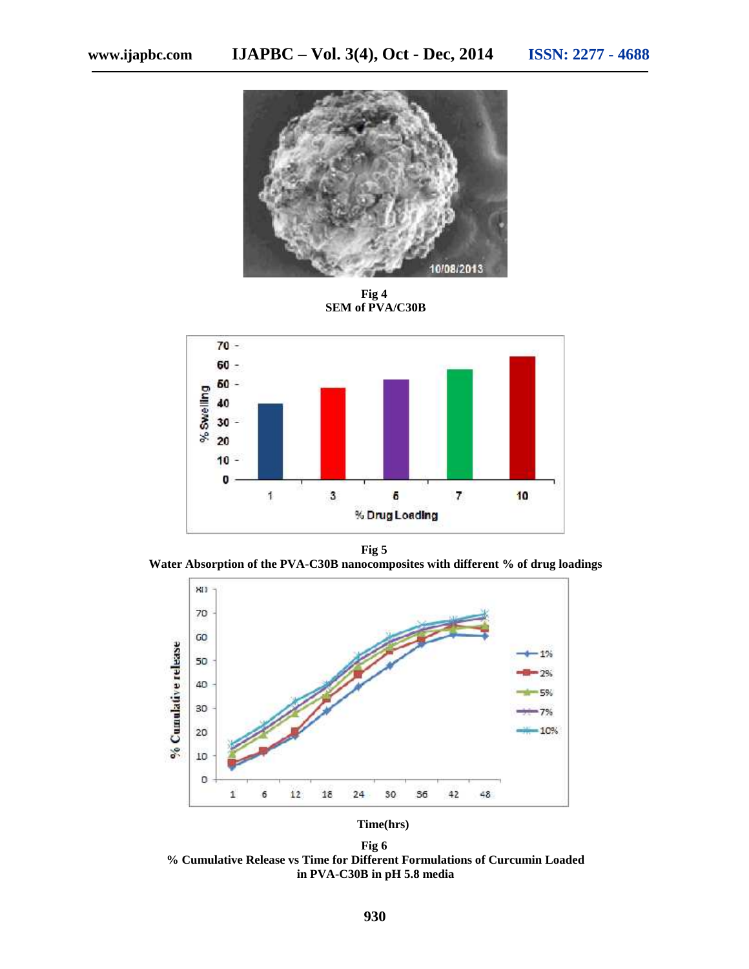

**Fig 4 SEM of PVA/C30B**



**Fig 5**

**Water Absorption of the PVA-C30B nanocomposites with different % of drug loadings**



**Time(hrs)**

**Fig 6 % Cumulative Release vs Time for Different Formulations of Curcumin Loaded in PVA-C30B in pH 5.8 media**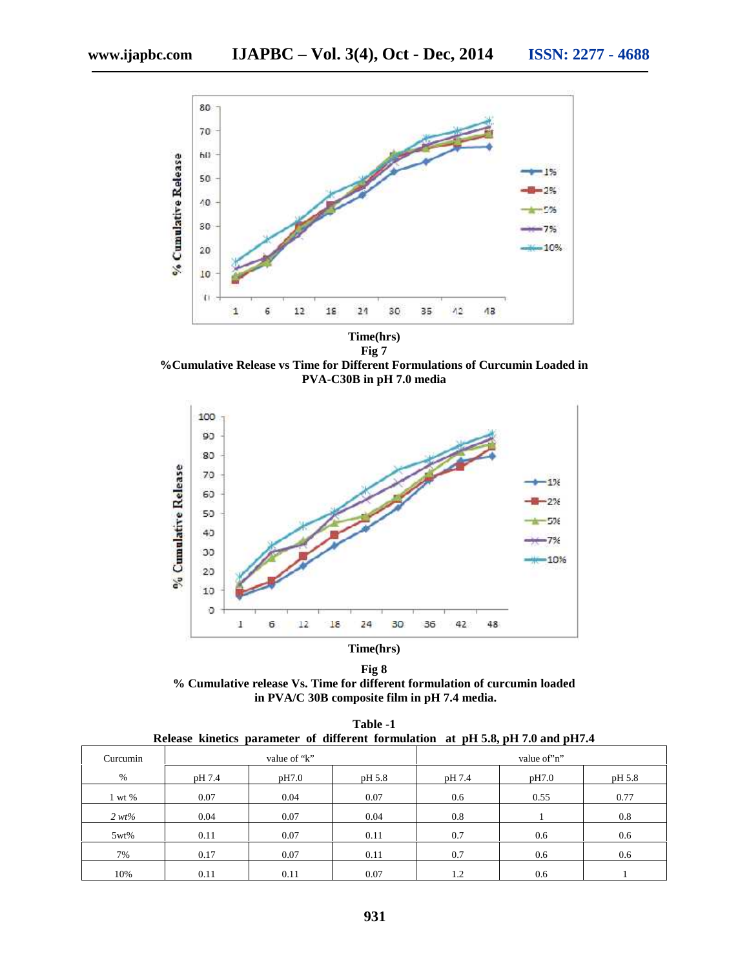

**Time(hrs) Fig 7**

**%Cumulative Release vs Time for Different Formulations of Curcumin Loaded in PVA-C30B in pH 7.0 media**



**Fig 8 % Cumulative release Vs. Time for different formulation of curcumin loaded in PVA/C 30B composite film in pH 7.4 media.**

| Table -1 |  |  |  |  |                                                                                 |  |  |  |  |  |  |
|----------|--|--|--|--|---------------------------------------------------------------------------------|--|--|--|--|--|--|
|          |  |  |  |  | Release kinetics parameter of different formulation at pH 5.8, pH 7.0 and pH7.4 |  |  |  |  |  |  |

| Curcumin |        | value of "k" |        | value of 'n'' |       |        |  |
|----------|--------|--------------|--------|---------------|-------|--------|--|
| $\%$     | pH 7.4 | pH7.0        | pH 5.8 | pH 7.4        | pH7.0 | pH 5.8 |  |
| 1 wt %   | 0.07   | 0.04         | 0.07   | 0.6           | 0.55  | 0.77   |  |
| $2 wt\%$ | 0.04   | 0.07         | 0.04   | 0.8           |       | 0.8    |  |
| 5wt%     | 0.11   | 0.07         | 0.11   | 0.7           | 0.6   | 0.6    |  |
| 7%       | 0.17   | 0.07         | 0.11   | 0.7           | 0.6   | 0.6    |  |
| 10%      | 0.11   | 0.11         | 0.07   | 1.2           | 0.6   |        |  |